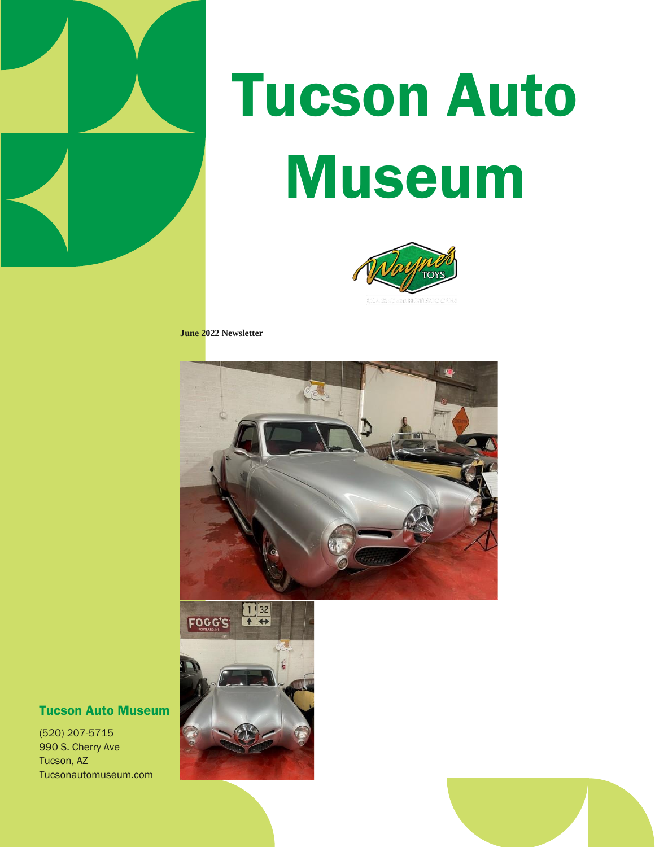

# Tucson Auto Museum



**June 2022 Newsletter**





#### Tucson Auto Museum

(520) 207-5715 990 S. Cherry Ave Tucson, AZ Tucsonautomuseum.com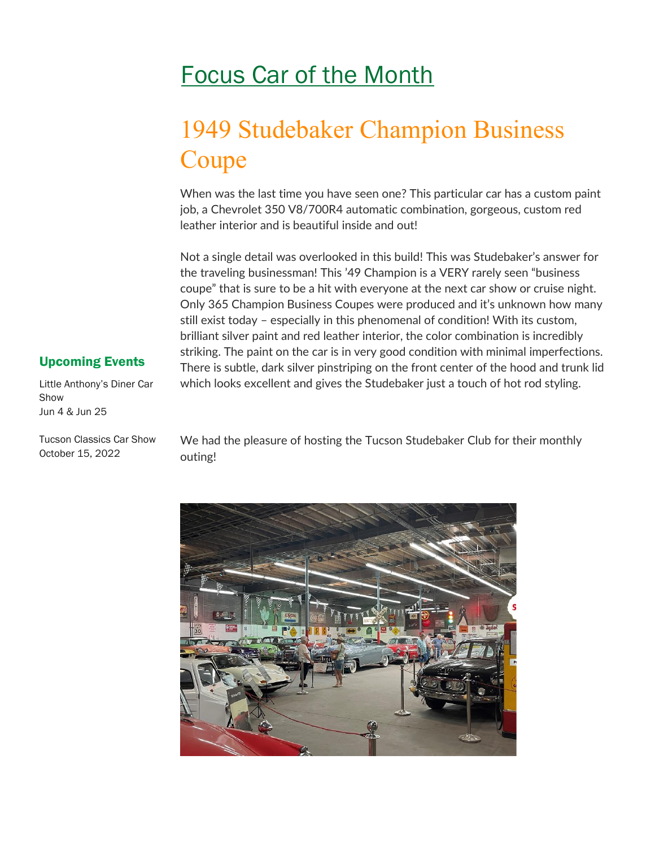## Focus Car of the Month

## 1949 Studebaker Champion Business Coupe

When was the last time you have seen one? This particular car has a custom paint job, a Chevrolet 350 V8/700R4 automatic combination, gorgeous, custom red leather interior and is beautiful inside and out!

Not a single detail was overlooked in this build! This was Studebaker's answer for the traveling businessman! This '49 Champion is a VERY rarely seen "business coupe" that is sure to be a hit with everyone at the next car show or cruise night. Only 365 Champion Business Coupes were produced and it's unknown how many still exist today – especially in this phenomenal of condition! With its custom, brilliant silver paint and red leather interior, the color combination is incredibly striking. The paint on the car is in very good condition with minimal imperfections. There is subtle, dark silver pinstriping on the front center of the hood and trunk lid which looks excellent and gives the Studebaker just a touch of hot rod styling.

#### Upcoming Events

Little Anthony's Diner Car Show Jun 4 & Jun 25

Tucson Classics Car Show October 15, 2022

We had the pleasure of hosting the Tucson Studebaker Club for their monthly outing!